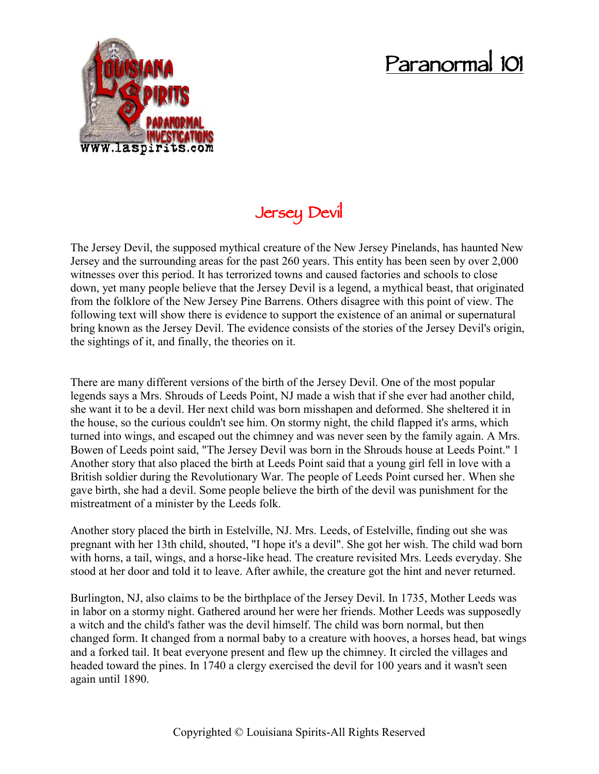## **Paranormal 101**



## **Jersey Devil**

The Jersey Devil, the supposed mythical creature of the New Jersey Pinelands, has haunted New Jersey and the surrounding areas for the past 260 years. This entity has been seen by over 2,000 witnesses over this period. It has terrorized towns and caused factories and schools to close down, yet many people believe that the Jersey Devil is a legend, a mythical beast, that originated from the folklore of the New Jersey Pine Barrens. Others disagree with this point of view. The following text will show there is evidence to support the existence of an animal or supernatural bring known as the Jersey Devil. The evidence consists of the stories of the Jersey Devil's origin, the sightings of it, and finally, the theories on it.

There are many different versions of the birth of the Jersey Devil. One of the most popular legends says a Mrs. Shrouds of Leeds Point, NJ made a wish that if she ever had another child, she want it to be a devil. Her next child was born misshapen and deformed. She sheltered it in the house, so the curious couldn't see him. On stormy night, the child flapped it's arms, which turned into wings, and escaped out the chimney and was never seen by the family again. A Mrs. Bowen of Leeds point said, "The Jersey Devil was born in the Shrouds house at Leeds Point." 1 Another story that also placed the birth at Leeds Point said that a young girl fell in love with a British soldier during the Revolutionary War. The people of Leeds Point cursed her. When she gave birth, she had a devil. Some people believe the birth of the devil was punishment for the mistreatment of a minister by the Leeds folk.

Another story placed the birth in Estelville, NJ. Mrs. Leeds, of Estelville, finding out she was pregnant with her 13th child, shouted, "I hope it's a devil". She got her wish. The child wad born with horns, a tail, wings, and a horse-like head. The creature revisited Mrs. Leeds everyday. She stood at her door and told it to leave. After awhile, the creature got the hint and never returned.

Burlington, NJ, also claims to be the birthplace of the Jersey Devil. In 1735, Mother Leeds was in labor on a stormy night. Gathered around her were her friends. Mother Leeds was supposedly a witch and the child's father was the devil himself. The child was born normal, but then changed form. It changed from a normal baby to a creature with hooves, a horses head, bat wings and a forked tail. It beat everyone present and flew up the chimney. It circled the villages and headed toward the pines. In 1740 a clergy exercised the devil for 100 years and it wasn't seen again until 1890.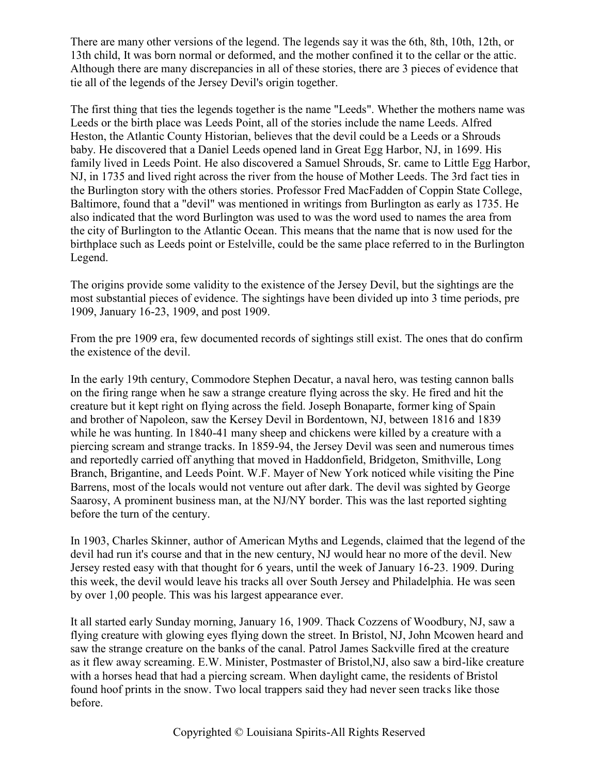There are many other versions of the legend. The legends say it was the 6th, 8th, 10th, 12th, or 13th child, It was born normal or deformed, and the mother confined it to the cellar or the attic. Although there are many discrepancies in all of these stories, there are 3 pieces of evidence that tie all of the legends of the Jersey Devil's origin together.

The first thing that ties the legends together is the name "Leeds". Whether the mothers name was Leeds or the birth place was Leeds Point, all of the stories include the name Leeds. Alfred Heston, the Atlantic County Historian, believes that the devil could be a Leeds or a Shrouds baby. He discovered that a Daniel Leeds opened land in Great Egg Harbor, NJ, in 1699. His family lived in Leeds Point. He also discovered a Samuel Shrouds, Sr. came to Little Egg Harbor, NJ, in 1735 and lived right across the river from the house of Mother Leeds. The 3rd fact ties in the Burlington story with the others stories. Professor Fred MacFadden of Coppin State College, Baltimore, found that a "devil" was mentioned in writings from Burlington as early as 1735. He also indicated that the word Burlington was used to was the word used to names the area from the city of Burlington to the Atlantic Ocean. This means that the name that is now used for the birthplace such as Leeds point or Estelville, could be the same place referred to in the Burlington Legend.

The origins provide some validity to the existence of the Jersey Devil, but the sightings are the most substantial pieces of evidence. The sightings have been divided up into 3 time periods, pre 1909, January 16-23, 1909, and post 1909.

From the pre 1909 era, few documented records of sightings still exist. The ones that do confirm the existence of the devil.

In the early 19th century, Commodore Stephen Decatur, a naval hero, was testing cannon balls on the firing range when he saw a strange creature flying across the sky. He fired and hit the creature but it kept right on flying across the field. Joseph Bonaparte, former king of Spain and brother of Napoleon, saw the Kersey Devil in Bordentown, NJ, between 1816 and 1839 while he was hunting. In 1840-41 many sheep and chickens were killed by a creature with a piercing scream and strange tracks. In 1859-94, the Jersey Devil was seen and numerous times and reportedly carried off anything that moved in Haddonfield, Bridgeton, Smithville, Long Branch, Brigantine, and Leeds Point. W.F. Mayer of New York noticed while visiting the Pine Barrens, most of the locals would not venture out after dark. The devil was sighted by George Saarosy, A prominent business man, at the NJ/NY border. This was the last reported sighting before the turn of the century.

In 1903, Charles Skinner, author of American Myths and Legends, claimed that the legend of the devil had run it's course and that in the new century, NJ would hear no more of the devil. New Jersey rested easy with that thought for 6 years, until the week of January 16-23. 1909. During this week, the devil would leave his tracks all over South Jersey and Philadelphia. He was seen by over 1,00 people. This was his largest appearance ever.

It all started early Sunday morning, January 16, 1909. Thack Cozzens of Woodbury, NJ, saw a flying creature with glowing eyes flying down the street. In Bristol, NJ, John Mcowen heard and saw the strange creature on the banks of the canal. Patrol James Sackville fired at the creature as it flew away screaming. E.W. Minister, Postmaster of Bristol,NJ, also saw a bird-like creature with a horses head that had a piercing scream. When daylight came, the residents of Bristol found hoof prints in the snow. Two local trappers said they had never seen tracks like those before.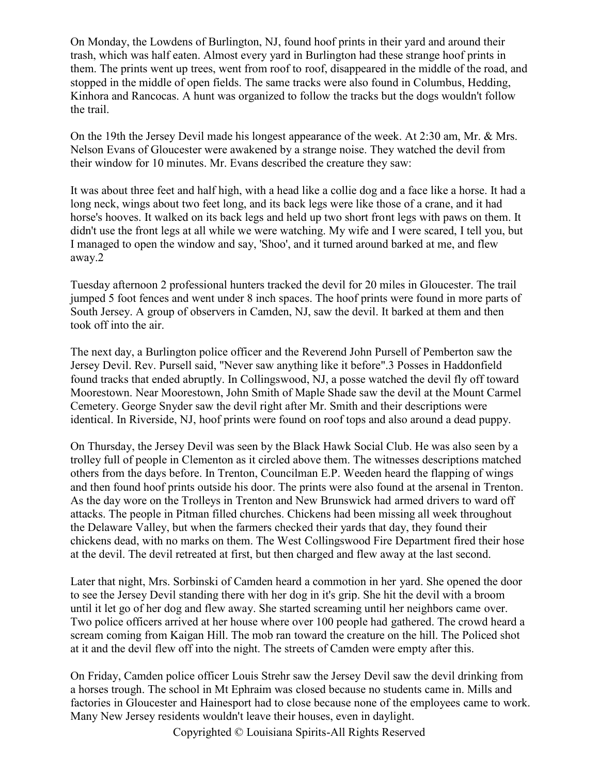On Monday, the Lowdens of Burlington, NJ, found hoof prints in their yard and around their trash, which was half eaten. Almost every yard in Burlington had these strange hoof prints in them. The prints went up trees, went from roof to roof, disappeared in the middle of the road, and stopped in the middle of open fields. The same tracks were also found in Columbus, Hedding, Kinhora and Rancocas. A hunt was organized to follow the tracks but the dogs wouldn't follow the trail.

On the 19th the Jersey Devil made his longest appearance of the week. At 2:30 am, Mr. & Mrs. Nelson Evans of Gloucester were awakened by a strange noise. They watched the devil from their window for 10 minutes. Mr. Evans described the creature they saw:

It was about three feet and half high, with a head like a collie dog and a face like a horse. It had a long neck, wings about two feet long, and its back legs were like those of a crane, and it had horse's hooves. It walked on its back legs and held up two short front legs with paws on them. It didn't use the front legs at all while we were watching. My wife and I were scared, I tell you, but I managed to open the window and say, 'Shoo', and it turned around barked at me, and flew away.2

Tuesday afternoon 2 professional hunters tracked the devil for 20 miles in Gloucester. The trail jumped 5 foot fences and went under 8 inch spaces. The hoof prints were found in more parts of South Jersey. A group of observers in Camden, NJ, saw the devil. It barked at them and then took off into the air.

The next day, a Burlington police officer and the Reverend John Pursell of Pemberton saw the Jersey Devil. Rev. Pursell said, "Never saw anything like it before".3 Posses in Haddonfield found tracks that ended abruptly. In Collingswood, NJ, a posse watched the devil fly off toward Moorestown. Near Moorestown, John Smith of Maple Shade saw the devil at the Mount Carmel Cemetery. George Snyder saw the devil right after Mr. Smith and their descriptions were identical. In Riverside, NJ, hoof prints were found on roof tops and also around a dead puppy.

On Thursday, the Jersey Devil was seen by the Black Hawk Social Club. He was also seen by a trolley full of people in Clementon as it circled above them. The witnesses descriptions matched others from the days before. In Trenton, Councilman E.P. Weeden heard the flapping of wings and then found hoof prints outside his door. The prints were also found at the arsenal in Trenton. As the day wore on the Trolleys in Trenton and New Brunswick had armed drivers to ward off attacks. The people in Pitman filled churches. Chickens had been missing all week throughout the Delaware Valley, but when the farmers checked their yards that day, they found their chickens dead, with no marks on them. The West Collingswood Fire Department fired their hose at the devil. The devil retreated at first, but then charged and flew away at the last second.

Later that night, Mrs. Sorbinski of Camden heard a commotion in her yard. She opened the door to see the Jersey Devil standing there with her dog in it's grip. She hit the devil with a broom until it let go of her dog and flew away. She started screaming until her neighbors came over. Two police officers arrived at her house where over 100 people had gathered. The crowd heard a scream coming from Kaigan Hill. The mob ran toward the creature on the hill. The Policed shot at it and the devil flew off into the night. The streets of Camden were empty after this.

On Friday, Camden police officer Louis Strehr saw the Jersey Devil saw the devil drinking from a horses trough. The school in Mt Ephraim was closed because no students came in. Mills and factories in Gloucester and Hainesport had to close because none of the employees came to work. Many New Jersey residents wouldn't leave their houses, even in daylight.

Copyrighted © Louisiana Spirits-All Rights Reserved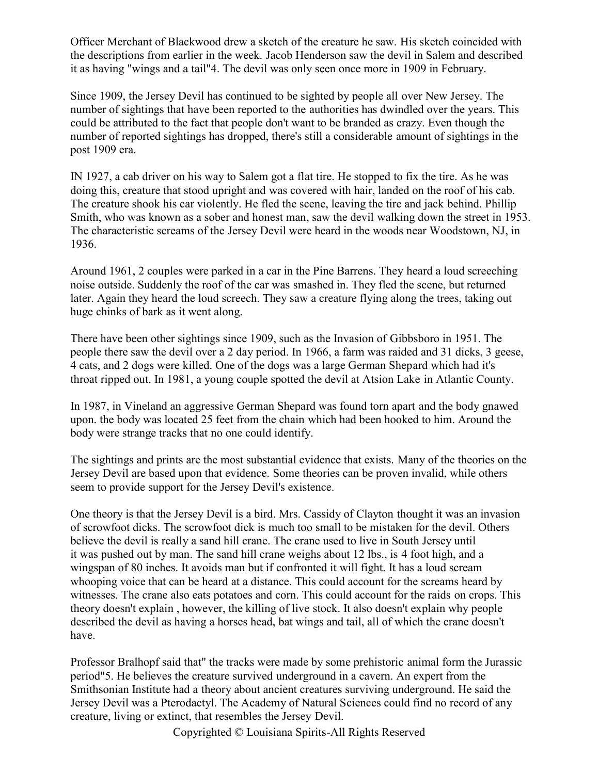Officer Merchant of Blackwood drew a sketch of the creature he saw. His sketch coincided with the descriptions from earlier in the week. Jacob Henderson saw the devil in Salem and described it as having "wings and a tail"4. The devil was only seen once more in 1909 in February.

Since 1909, the Jersey Devil has continued to be sighted by people all over New Jersey. The number of sightings that have been reported to the authorities has dwindled over the years. This could be attributed to the fact that people don't want to be branded as crazy. Even though the number of reported sightings has dropped, there's still a considerable amount of sightings in the post 1909 era.

IN 1927, a cab driver on his way to Salem got a flat tire. He stopped to fix the tire. As he was doing this, creature that stood upright and was covered with hair, landed on the roof of his cab. The creature shook his car violently. He fled the scene, leaving the tire and jack behind. Phillip Smith, who was known as a sober and honest man, saw the devil walking down the street in 1953. The characteristic screams of the Jersey Devil were heard in the woods near Woodstown, NJ, in 1936.

Around 1961, 2 couples were parked in a car in the Pine Barrens. They heard a loud screeching noise outside. Suddenly the roof of the car was smashed in. They fled the scene, but returned later. Again they heard the loud screech. They saw a creature flying along the trees, taking out huge chinks of bark as it went along.

There have been other sightings since 1909, such as the Invasion of Gibbsboro in 1951. The people there saw the devil over a 2 day period. In 1966, a farm was raided and 31 dicks, 3 geese, 4 cats, and 2 dogs were killed. One of the dogs was a large German Shepard which had it's throat ripped out. In 1981, a young couple spotted the devil at Atsion Lake in Atlantic County.

In 1987, in Vineland an aggressive German Shepard was found torn apart and the body gnawed upon. the body was located 25 feet from the chain which had been hooked to him. Around the body were strange tracks that no one could identify.

The sightings and prints are the most substantial evidence that exists. Many of the theories on the Jersey Devil are based upon that evidence. Some theories can be proven invalid, while others seem to provide support for the Jersey Devil's existence.

One theory is that the Jersey Devil is a bird. Mrs. Cassidy of Clayton thought it was an invasion of scrowfoot dicks. The scrowfoot dick is much too small to be mistaken for the devil. Others believe the devil is really a sand hill crane. The crane used to live in South Jersey until it was pushed out by man. The sand hill crane weighs about 12 lbs., is 4 foot high, and a wingspan of 80 inches. It avoids man but if confronted it will fight. It has a loud scream whooping voice that can be heard at a distance. This could account for the screams heard by witnesses. The crane also eats potatoes and corn. This could account for the raids on crops. This theory doesn't explain , however, the killing of live stock. It also doesn't explain why people described the devil as having a horses head, bat wings and tail, all of which the crane doesn't have.

Professor Bralhopf said that" the tracks were made by some prehistoric animal form the Jurassic period"5. He believes the creature survived underground in a cavern. An expert from the Smithsonian Institute had a theory about ancient creatures surviving underground. He said the Jersey Devil was a Pterodactyl. The Academy of Natural Sciences could find no record of any creature, living or extinct, that resembles the Jersey Devil.

Copyrighted © Louisiana Spirits-All Rights Reserved